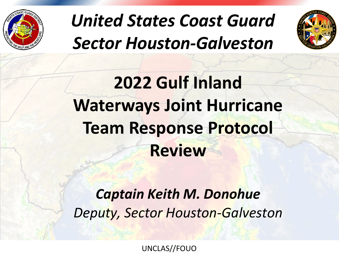

# *United States Coast Guard Sector Houston-Galveston*



# **2022 Gulf Inland Waterways Joint Hurricane Team Response Protocol Review**

### *Captain Keith M. Donohue Deputy, Sector Houston-Galveston*

UNCLAS//FOUO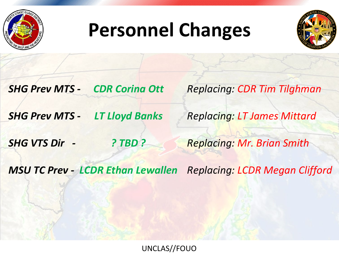

# **Personnel Changes**



*CDR Corina Ott SHG Prev MTS -*

*Replacing: CDR Tim Tilghman*

*LT Lloyd Banks SHG Prev MTS -*

*Replacing: LT James Mittard*

*? TBD ? SHG VTS Dir -*

*Replacing: Mr. Brian Smith*

MSU TC Prev - LCDR Ethan Lewallen Replacing: LCDR Megan Clifford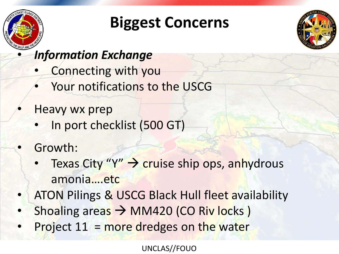

## **Biggest Concerns**



#### • *Information Exchange*

- Connecting with you
- Your notifications to the USCG
- Heavy wx prep
	- In port checklist (500 GT)
- Growth:
	- **Texas City "Y"**  $\rightarrow$  **cruise ship ops, anhydrous** amonia….etc
- ATON Pilings & USCG Black Hull fleet availability
- Shoaling areas  $\rightarrow$  MM420 (CO Riv locks)
- Project 11 = more dredges on the water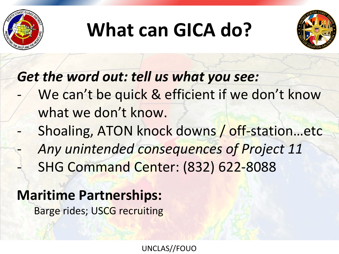

# **What can GICA do?**



*Get the word out: tell us what you see:*

- We can't be quick & efficient if we don't know what we don't know.
- Shoaling, ATON knock downs / off-station…etc - *Any unintended consequences of Project 11* - SHG Command Center: (832) 622-8088

### **Maritime Partnerships:**

Barge rides; USCG recruiting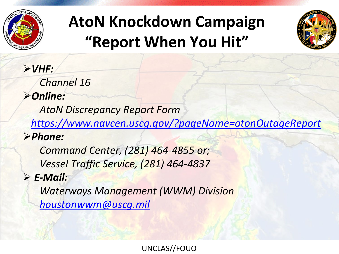

## **AtoN Knockdown Campaign "Report When You Hit"**



*VHF: Channel 16 Online: AtoN Discrepancy Report Form <https://www.navcen.uscg.gov/?pageName=atonOutageReport> Phone: Command Center, (281) 464-4855 or; Vessel Traffic Service, (281) 464-4837 E-Mail: Waterways Management (WWM) Division [houstonwwm@uscg.mil](mailto:houstonwwm@uscg.mil)*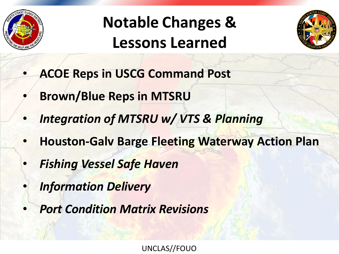

## **Notable Changes & Lessons Learned**



- **ACOE Reps in USCG Command Post**
- **Brown/Blue Reps in MTSRU**
- *Integration of MTSRU w/ VTS & Planning*
- **Houston-Galv Barge Fleeting Waterway Action Plan**
- *Fishing Vessel Safe Haven*
- *Information Delivery*
- *Port Condition Matrix Revisions*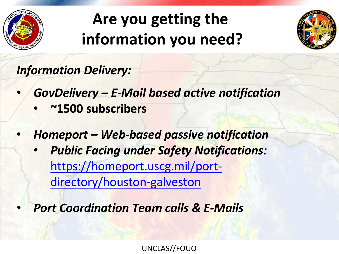

## **Are you getting the information you need?**



*Information Delivery:*

- *GovDelivery – E-Mail based active notification*
	- **~1500 subscribers**
- *Homeport – Web-based passive notification*
	- *Public Facing under Safety Notifications:* [https://homeport.uscg.mil/port](https://homeport.uscg.mil/port-directory/houston-galveston)directory/houston-galveston
- *Port Coordination Team calls & E-Mails*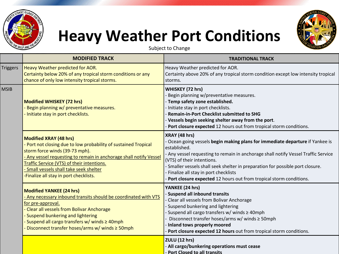

### **Heavy Weather Port Conditions**



Subject to Change

|                 | <b>MODIFIED TRACK</b>                                                                                                                                                                                                                                                                                                                 | <b>TRADITIONAL TRACK</b>                                                                                                                                                                                                                                                                                                                                                                                                       |
|-----------------|---------------------------------------------------------------------------------------------------------------------------------------------------------------------------------------------------------------------------------------------------------------------------------------------------------------------------------------|--------------------------------------------------------------------------------------------------------------------------------------------------------------------------------------------------------------------------------------------------------------------------------------------------------------------------------------------------------------------------------------------------------------------------------|
| <b>Triggers</b> | Heavy Weather predicted for AOR.<br>Certainty below 20% of any tropical storm conditions or any<br>chance of only low intensity tropical storms.                                                                                                                                                                                      | Heavy Weather predicted for AOR.<br>Certainty above 20% of any tropical storm condition except low intensity tropical<br>storms.                                                                                                                                                                                                                                                                                               |
| <b>MSIB</b>     | <b>Modified WHISKEY (72 hrs)</b><br>Begin planning w/ preventative measures.<br>- Initiate stay in port checklists.                                                                                                                                                                                                                   | <b>WHISKEY (72 hrs)</b><br>Begin planning w/preventative measures.<br>Temp safety zone established.<br>Initiate stay in port checklists.<br><b>Remain-in-Port Checklist submitted to SHG</b><br>Vessels begin seeking shelter away from the port.<br>Port closure expected 12 hours out from tropical storm conditions.                                                                                                        |
|                 | <b>Modified XRAY (48 hrs)</b><br>Port not closing due to low probability of sustained Tropical<br>storm force winds (39-73 mph).<br>Any vessel requesting to remain in anchorage shall notify Vessel<br>Traffic Service (VTS) of their intentions.<br>Small vessels shall take seek shelter<br>-Finalize all stay in port checklists. | XRAY (48 hrs)<br>Ocean going vessels begin making plans for immediate departure if Yankee is<br>established.<br>- Any vessel requesting to remain in anchorage shall notify Vessel Traffic Service<br>(VTS) of their intentions.<br>Smaller vessels shall seek shelter in preparation for possible port closure.<br>Finalize all stay in port checklists<br>Port closure expected 12 hours out from tropical storm conditions. |
|                 | <b>Modified YANKEE (24 hrs)</b><br>Any necessary inbound transits should be coordinated with VTS<br>for pre-approval.<br>- Clear all vessels from Bolivar Anchorage<br>Suspend bunkering and lightering<br>Suspend all cargo transfers w/ winds ≥ 40mph<br>Disconnect transfer hoses/arms w/ winds $\geq$ 50mph                       | YANKEE (24 hrs)<br>Suspend all inbound transits<br>Clear all vessels from Bolivar Anchorage<br>Suspend bunkering and lightering<br>Suspend all cargo transfers w/ winds ≥ 40mph<br>Disconnect transfer hoses/arms w/ winds ≥ 50mph<br>Inland tows properly moored<br>Port closure expected 12 hours out from tropical storm conditions.                                                                                        |
|                 |                                                                                                                                                                                                                                                                                                                                       | ZULU (12 hrs)<br>All cargo/bunkering operations must cease<br>- Port Closed to all transits                                                                                                                                                                                                                                                                                                                                    |